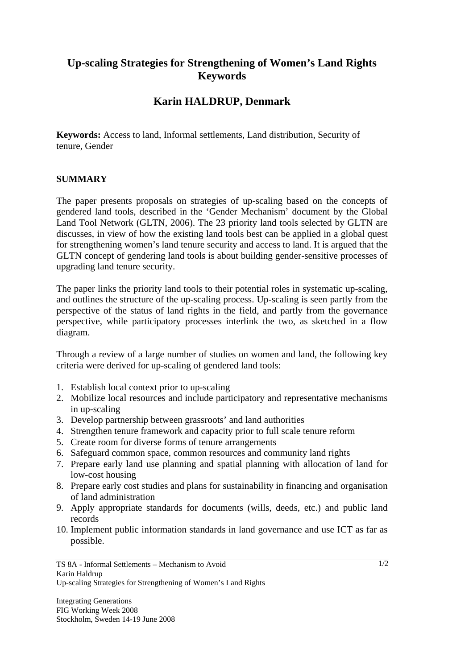## **Up-scaling Strategies for Strengthening of Women's Land Rights Keywords**

## **Karin HALDRUP, Denmark**

**Keywords:** Access to land, Informal settlements, Land distribution, Security of tenure, Gender

## **SUMMARY**

The paper presents proposals on strategies of up-scaling based on the concepts of gendered land tools, described in the 'Gender Mechanism' document by the Global Land Tool Network (GLTN, 2006). The 23 priority land tools selected by GLTN are discusses, in view of how the existing land tools best can be applied in a global quest for strengthening women's land tenure security and access to land. It is argued that the GLTN concept of gendering land tools is about building gender-sensitive processes of upgrading land tenure security.

The paper links the priority land tools to their potential roles in systematic up-scaling, and outlines the structure of the up-scaling process. Up-scaling is seen partly from the perspective of the status of land rights in the field, and partly from the governance perspective, while participatory processes interlink the two, as sketched in a flow diagram.

Through a review of a large number of studies on women and land, the following key criteria were derived for up-scaling of gendered land tools:

- 1. Establish local context prior to up-scaling
- 2. Mobilize local resources and include participatory and representative mechanisms in up-scaling
- 3. Develop partnership between grassroots' and land authorities
- 4. Strengthen tenure framework and capacity prior to full scale tenure reform
- 5. Create room for diverse forms of tenure arrangements
- 6. Safeguard common space, common resources and community land rights
- 7. Prepare early land use planning and spatial planning with allocation of land for low-cost housing
- 8. Prepare early cost studies and plans for sustainability in financing and organisation of land administration
- 9. Apply appropriate standards for documents (wills, deeds, etc.) and public land records
- 10. Implement public information standards in land governance and use ICT as far as possible.